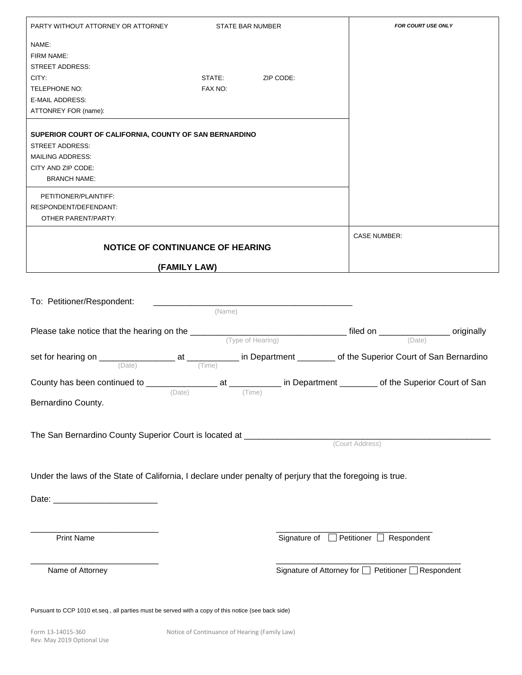| PARTY WITHOUT ATTORNEY OR ATTORNEY                                                                                                                                           |                                  | <b>STATE BAR NUMBER</b> | FOR COURT USE ONLY                                  |
|------------------------------------------------------------------------------------------------------------------------------------------------------------------------------|----------------------------------|-------------------------|-----------------------------------------------------|
| NAME:<br>FIRM NAME:<br>STREET ADDRESS:<br>CITY:<br>TELEPHONE NO:<br><b>E-MAIL ADDRESS:</b><br>ATTONREY FOR (name):<br>SUPERIOR COURT OF CALIFORNIA, COUNTY OF SAN BERNARDINO | STATE:<br>FAX NO:                | ZIP CODE:               |                                                     |
| <b>STREET ADDRESS:</b><br><b>MAILING ADDRESS:</b><br>CITY AND ZIP CODE:<br><b>BRANCH NAME:</b><br>PETITIONER/PLAINTIFF:                                                      |                                  |                         |                                                     |
| RESPONDENT/DEFENDANT:<br><b>OTHER PARENT/PARTY:</b>                                                                                                                          |                                  |                         |                                                     |
|                                                                                                                                                                              | NOTICE OF CONTINUANCE OF HEARING |                         | <b>CASE NUMBER:</b>                                 |
|                                                                                                                                                                              | (FAMILY LAW)                     |                         |                                                     |
| To: Petitioner/Respondent:                                                                                                                                                   | (Name)                           |                         |                                                     |
|                                                                                                                                                                              |                                  |                         |                                                     |
|                                                                                                                                                                              |                                  |                         |                                                     |
|                                                                                                                                                                              | (Date)                           | (Time)                  |                                                     |
| Bernardino County.                                                                                                                                                           |                                  |                         |                                                     |
|                                                                                                                                                                              |                                  |                         | (Court Address)                                     |
| Under the laws of the State of California, I declare under penalty of perjury that the foregoing is true.                                                                    |                                  |                         |                                                     |
|                                                                                                                                                                              |                                  |                         |                                                     |
|                                                                                                                                                                              |                                  |                         |                                                     |
| <b>Print Name</b>                                                                                                                                                            |                                  |                         | Signature of Petitioner Respondent                  |
| Name of Attorney                                                                                                                                                             |                                  |                         | Signature of Attorney for □ Petitioner □ Respondent |
| Pursuant to CCP 1010 et.seq., all parties must be served with a copy of this notice (see back side)                                                                          |                                  |                         |                                                     |